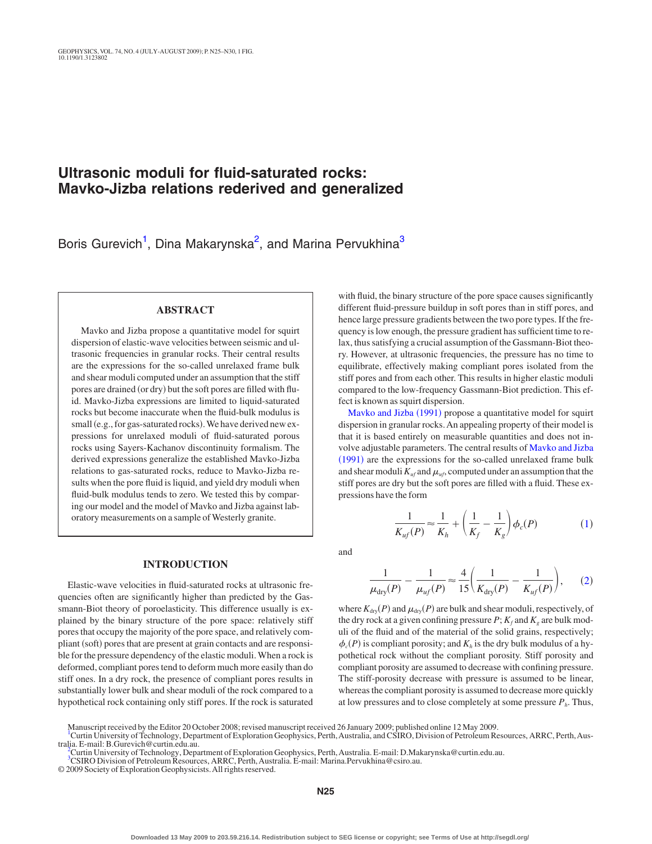# **Ultrasonic moduli for fluid-saturated rocks: Mavko-Jizba relations rederived and generalized**

Boris Gurevich<sup>1</sup>, Dina Makarynska<sup>2</sup>, and Marina Pervukhina<sup>3</sup>

## **ABSTRACT**

Mavko and Jizba propose a quantitative model for squirt dispersion of elastic-wave velocities between seismic and ultrasonic frequencies in granular rocks. Their central results are the expressions for the so-called unrelaxed frame bulk and shear moduli computed under an assumption that the stiff pores are drained (or dry) but the soft pores are filled with fluid. Mavko-Jizba expressions are limited to liquid-saturated rocks but become inaccurate when the fluid-bulk modulus is small (e.g., for gas-saturated rocks). We have derived new expressions for unrelaxed moduli of fluid-saturated porous rocks using Sayers-Kachanov discontinuity formalism. The derived expressions generalize the established Mavko-Jizba relations to gas-saturated rocks, reduce to Mavko-Jizba results when the pore fluid is liquid, and yield dry moduli when fluid-bulk modulus tends to zero. We tested this by comparing our model and the model of Mavko and Jizba against laboratory measurements on a sample of Westerly granite.

#### **INTRODUCTION**

Elastic-wave velocities in fluid-saturated rocks at ultrasonic frequencies often are significantly higher than predicted by the Gassmann-Biot theory of poroelasticity. This difference usually is explained by the binary structure of the pore space: relatively stiff pores that occupy the majority of the pore space, and relatively compliant (soft) pores that are present at grain contacts and are responsible for the pressure dependency of the elastic moduli.When a rock is deformed, compliant pores tend to deform much more easily than do stiff ones. In a dry rock, the presence of compliant pores results in substantially lower bulk and shear moduli of the rock compared to a hypothetical rock containing only stiff pores. If the rock is saturated

with fluid, the binary structure of the pore space causes significantly different fluid-pressure buildup in soft pores than in stiff pores, and hence large pressure gradients between the two pore types. If the frequency is low enough, the pressure gradient has sufficient time to relax, thus satisfying a crucial assumption of the Gassmann-Biot theory. However, at ultrasonic frequencies, the pressure has no time to equilibrate, effectively making compliant pores isolated from the stiff pores and from each other. This results in higher elastic moduli compared to the low-frequency Gassmann-Biot prediction. This effect is known as squirt dispersion.

[Mavko and Jizba](#page-4-0) (1991) propose a quantitative model for squirt dispersion in granular rocks. An appealing property of their model is that it is based entirely on measurable quantities and does not involve adjustable parameters. The central results of [Mavko and Jizba](#page-4-0) ([1991](#page-4-0)) are the expressions for the so-called unrelaxed frame bulk and shear moduli  $K_{uf}$  and  $\mu_{uf}$ , computed under an assumption that the stiff pores are dry but the soft pores are filled with a fluid. These expressions have the form

 $\frac{1}{K_h} + \left(\frac{1}{K_f} - \frac{1}{K_f}\right)$ 

 $\left(\frac{1}{K_g}\right)\phi_c(P)$ 

 $\left(1\right)$  $\left(1\right)$  $\left(1\right)$ 

1  $\frac{1}{K_{uf}(P)} \approx \frac{1}{K}$ 

<span id="page-0-3"></span>and

$$
\frac{1}{\mu_{\text{dry}}(P)} - \frac{1}{\mu_{\text{uf}}(P)} \approx \frac{4}{15} \left( \frac{1}{K_{\text{dry}}(P)} - \frac{1}{K_{\text{uf}}(P)} \right), \tag{2}
$$

where  $K_{\text{dry}}(P)$  and  $\mu_{\text{dry}}(P)$  are bulk and shear moduli, respectively, of the dry rock at a given confining pressure  $P$ ;  $K_f$  and  $K_g$  are bulk moduli of the fluid and of the material of the solid grains, respectively;  $\phi_c(P)$  is compliant porosity; and  $K_h$  is the dry bulk modulus of a hypothetical rock without the compliant porosity. Stiff porosity and compliant porosity are assumed to decrease with confining pressure. The stiff-porosity decrease with pressure is assumed to be linear, whereas the compliant porosity is assumed to decrease more quickly at low pressures and to close completely at some pressure  $P_h$ . Thus,

© 2009 Society of Exploration Geophysicists.All rights reserved.

Manuscript received by the Editor 20 October 2008; revised manuscript received 26 January 2009; published online 12 May 2009.

<span id="page-0-0"></span><sup>&</sup>lt;sup>[1](#page-0-0)</sup>Curtin University of Technology, Department of Exploration Geophysics, Perth, Australia, and CSIRO, Division of Petroleum Resources, ARRC, Perth, Australia. E-mail: B.Gurevich@curtin.edu.au. [2](#page-0-1)

<span id="page-0-2"></span><span id="page-0-1"></span>Curtin University of Technology, Department of Exploration Geophysics, Perth,Australia. E-mail: D.Makarynska@curtin.edu.au.

<sup>&</sup>lt;sup>[3](#page-0-2)</sup>CSIRO Division of Petroleum Resources, ARRC, Perth, Australia. E-mail: Marina.Pervukhina@csiro.au.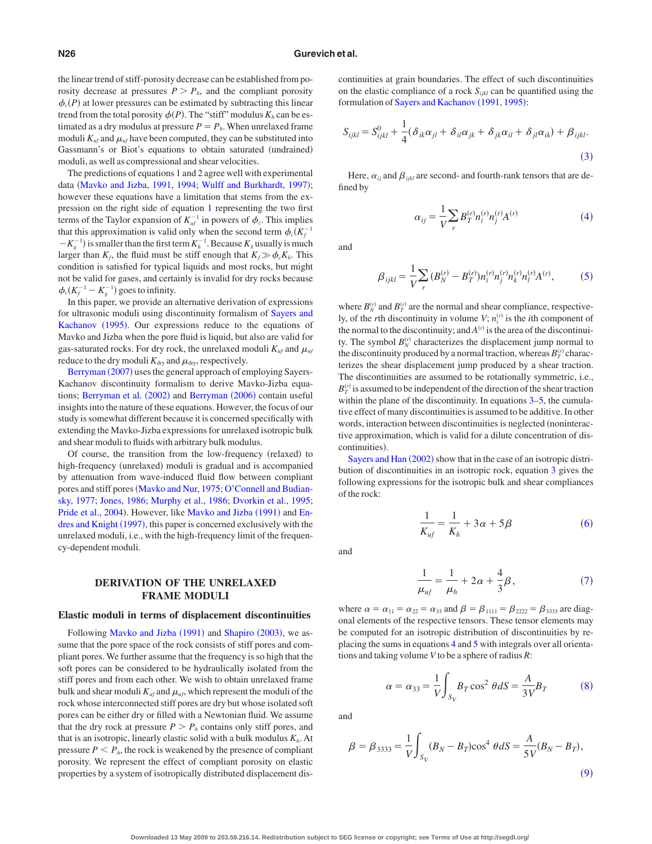the linear trend of stiff-porosity decrease can be established from porosity decrease at pressures  $P > P_h$ , and the compliant porosity  $\phi_c(P)$  at lower pressures can be estimated by subtracting this linear trend from the total porosity  $\phi(P)$ . The "stiff" modulus  $K_h$  can be estimated as a dry modulus at pressure  $P = P_h$ . When unrelaxed frame moduli  $K_{uf}$  and  $\mu_{uf}$  have been computed, they can be substituted into Gassmann's or Biot's equations to obtain saturated (undrained) moduli, as well as compressional and shear velocities.

The predictions of equations 1 and 2 agree well with experimental data ([Mavko and Jizba, 1991,](#page-4-0) [1994;](#page-4-1) [Wulff and Burkhardt, 1997](#page-5-0)); however these equations have a limitation that stems from the expression on the right side of equation [1](#page-0-3) representing the two first terms of the Taylor expansion of  $K_{uf}^{-1}$  in powers of  $\phi_c$ . This implies that this approximation is valid only when the second term  $\phi_c(K_f^{-1})$  $-K_g^{-1}$ ) is smaller than the first term  $K_h^{-1}$ . Because  $K_g$  usually is much larger than  $K_f$ , the fluid must be stiff enough that  $K_f \gg \phi_c K_h$ . This condition is satisfied for typical liquids and most rocks, but might not be valid for gases, and certainly is invalid for dry rocks because  $\phi_c(K_f^{-1} - K_g^{-1})$  goes to infinity.

In this paper, we provide an alternative derivation of expressions for ultrasonic moduli using discontinuity formalism of [Sayers and](#page-5-1) [Kachanov](#page-5-1) (1995). Our expressions reduce to the equations of Mavko and Jizba when the pore fluid is liquid, but also are valid for gas-saturated rocks. For dry rock, the unrelaxed moduli  $K_{uf}$  and  $\mu_{uf}$ reduce to the dry moduli  $K_{\text{dry}}$  and  $\mu_{\text{dry}}$ , respectively.

[Berryman](#page-4-2) (2007) uses the general approach of employing Sayers-Kachanov discontinuity formalism to derive Mavko-Jizba equa-tions; [Berryman et al.](#page-4-3) (2002) and [Berryman](#page-4-4) (2006) contain useful insights into the nature of these equations. However, the focus of our study is somewhat different because it is concerned specifically with extending the Mavko-Jizba expressions for unrelaxed isotropic bulk and shear moduli to fluids with arbitrary bulk modulus.

Of course, the transition from the low-frequency (relaxed) to high-frequency (unrelaxed) moduli is gradual and is accompanied by attenuation from wave-induced fluid flow between compliant pores and stiff pores ([Mavko and Nur, 1975;](#page-4-5) [O'Connell and Budian](#page-5-2)[sky, 1977;](#page-5-2) [Jones, 1986;](#page-4-6) [Murphy et al., 1986;](#page-5-3) [Dvorkin et al., 1995;](#page-4-7) [Pride et al., 2004](#page-5-4)). However, like [Mavko and Jizba](#page-4-0) (1991) and [En](#page-4-8)[dres and Knight](#page-4-8) (1997), this paper is concerned exclusively with the unrelaxed moduli, i.e., with the high-frequency limit of the frequency-dependent moduli.

## **DERIVATION OF THE UNRELAXED FRAME MODULI**

#### **Elastic moduli in terms of displacement discontinuities**

Following [Mavko and Jizba](#page-4-0) (1991) and [Shapiro](#page-5-5) (2003), we assume that the pore space of the rock consists of stiff pores and compliant pores. We further assume that the frequency is so high that the soft pores can be considered to be hydraulically isolated from the stiff pores and from each other. We wish to obtain unrelaxed frame bulk and shear moduli  $K_{uf}$  and  $\mu_{uf}$ , which represent the moduli of the rock whose interconnected stiff pores are dry but whose isolated soft pores can be either dry or filled with a Newtonian fluid. We assume that the dry rock at pressure  $P > P_h$  contains only stiff pores, and that is an isotropic, linearly elastic solid with a bulk modulus  $K<sub>h</sub>$ . At pressure  $P \leq P_h$ , the rock is weakened by the presence of compliant porosity. We represent the effect of compliant porosity on elastic properties by a system of isotropically distributed displacement discontinuities at grain boundaries. The effect of such discontinuities on the elastic compliance of a rock  $S_{ijkl}$  can be quantified using the formulation of [Sayers and Kachanov](#page-5-6) (1991, [1995](#page-5-1)):

<span id="page-1-0"></span>
$$
S_{ijkl} = S_{ijkl}^0 + \frac{1}{4} (\delta_{ik}\alpha_{jl} + \delta_{il}\alpha_{jk} + \delta_{jk}\alpha_{il} + \delta_{jl}\alpha_{ik}) + \beta_{ijkl}.
$$
\n(3)

<span id="page-1-1"></span>Here,  $\alpha_{ij}$  and  $\beta_{ijkl}$  are second- and fourth-rank tensors that are defined by

$$
\alpha_{ij} = \frac{1}{V} \sum_{r} B_{T}^{(r)} n_i^{(r)} n_j^{(r)} A^{(r)} \tag{4}
$$

<span id="page-1-2"></span>and

$$
\beta_{ijkl} = \frac{1}{V} \sum_{r} (B_N^{(r)} - B_T^{(r)}) n_i^{(r)} n_j^{(r)} n_k^{(r)} n_l^{(r)} A^{(r)}, \tag{5}
$$

where  $B_N^{(r)}$  and  $B_T^{(r)}$  are the normal and shear compliance, respectively, of the *r*th discontinuity in volume  $V$ ;  $n_i^{(r)}$  is the *i*th component of the normal to the discontinuity; and  $A<sup>(r)</sup>$  is the area of the discontinuity. The symbol  $B_N^{(r)}$  characterizes the displacement jump normal to the discontinuity produced by a normal traction, whereas  $B_T^{(r)}$  characterizes the shear displacement jump produced by a shear traction. The discontinuities are assumed to be rotationally symmetric, i.e.,  $B_T^{(r)}$  is assumed to be independent of the direction of the shear traction within the plane of the discontinuity. In equations  $3-5$ , the cumulative effect of many discontinuities is assumed to be additive. In other words, interaction between discontinuities is neglected (noninteractive approximation, which is valid for a dilute concentration of discontinuities).

[Sayers and Han](#page-5-7) (2002) show that in the case of an isotropic distribution of discontinuities in an isotropic rock, equation [3](#page-1-0) gives the following expressions for the isotropic bulk and shear compliances of the rock:

$$
\frac{1}{K_{uf}} = \frac{1}{K_h} + 3\alpha + 5\beta
$$
 (6)

<span id="page-1-4"></span><span id="page-1-3"></span>and

$$
\frac{1}{\mu_{uf}} = \frac{1}{\mu_h} + 2\alpha + \frac{4}{3}\beta,
$$
 (7)

where  $\alpha = \alpha_{11} = \alpha_{22} = \alpha_{33}$  and  $\beta = \beta_{1111} = \beta_{2222} = \beta_{3333}$  are diagonal elements of the respective tensors. These tensor elements may be computed for an isotropic distribution of discontinuities by replacing the sums in equations [4](#page-1-1) and [5](#page-1-2) with integrals over all orientations and taking volume *V* to be a sphere of radius *R*:

$$
\alpha = \alpha_{33} = \frac{1}{V} \int_{S_V} B_T \cos^2 \theta dS = \frac{A}{3V} B_T \tag{8}
$$

<span id="page-1-6"></span><span id="page-1-5"></span>and

$$
\beta = \beta_{3333} = \frac{1}{V} \int_{S_V} (B_N - B_T) \cos^4 \theta \, dS = \frac{A}{5V} (B_N - B_T),\tag{9}
$$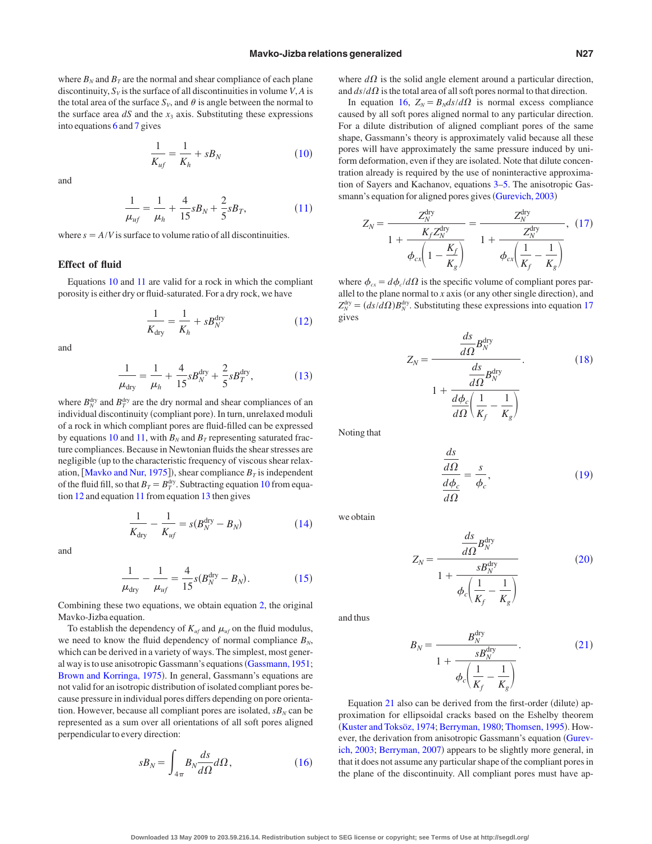where  $B_N$  and  $B_T$  are the normal and shear compliance of each plane discontinuity,  $S_V$  is the surface of all discontinuities in volume *V*, *A* is the total area of the surface  $S_V$ , and  $\theta$  is angle between the normal to the surface area  $dS$  and the  $x_3$  axis. Substituting these expressions into equations [6](#page-1-3) and [7](#page-1-4) gives

$$
\frac{1}{K_{uf}} = \frac{1}{K_h} + sB_N \tag{10}
$$

<span id="page-2-1"></span><span id="page-2-0"></span>and

$$
\frac{1}{\mu_{uf}} = \frac{1}{\mu_h} + \frac{4}{15} s B_N + \frac{2}{5} s B_T, \tag{11}
$$

where  $s = A/V$  is surface to volume ratio of all discontinuities.

#### **Effect of fluid**

<span id="page-2-2"></span>Equations [10](#page-2-0) and [11](#page-2-1) are valid for a rock in which the compliant porosity is either dry or fluid-saturated. For a dry rock, we have

$$
\frac{1}{K_{\text{dry}}} = \frac{1}{K_h} + sB_N^{\text{dry}} \tag{12}
$$

<span id="page-2-3"></span>and

$$
\frac{1}{\mu_{\text{dry}}} = \frac{1}{\mu_h} + \frac{4}{15} s B_N^{\text{dry}} + \frac{2}{5} s B_T^{\text{dry}},\tag{13}
$$

where  $B_N^{\text{dry}}$  and  $B_T^{\text{dry}}$  are the dry normal and shear compliances of an individual discontinuity (compliant pore). In turn, unrelaxed moduli of a rock in which compliant pores are fluid-filled can be expressed by equations [10](#page-2-0) and [11,](#page-2-1) with  $B_N$  and  $B_T$  representing saturated fracture compliances. Because in Newtonian fluids the shear stresses are negligible (up to the characteristic frequency of viscous shear relax-ation, [[Mavko and Nur, 1975](#page-4-5)]), shear compliance  $B_T$  is independent of the fluid fill, so that  $B_T = B_T^{\text{dry}}$ . Subtracting equation [10](#page-2-0) from equation [12](#page-2-2) and equation [11](#page-2-1) from equation [13](#page-2-3) then gives

$$
\frac{1}{K_{\text{dry}}} - \frac{1}{K_{uf}} = s(B_N^{\text{dry}} - B_N) \tag{14}
$$

<span id="page-2-5"></span><span id="page-2-4"></span>and

$$
\frac{1}{\mu_{\text{dry}}} - \frac{1}{\mu_{uf}} = \frac{4}{15} s (B_N^{\text{dry}} - B_N). \tag{15}
$$

Combining these two equations, we obtain equation [2,](#page-0-3) the original Mavko-Jizba equation.

To establish the dependency of  $K_{uf}$  and  $\mu_{uf}$  on the fluid modulus, we need to know the fluid dependency of normal compliance  $B_N$ , which can be derived in a variety of ways. The simplest, most gener-al way is to use anisotropic Gassmann's equations ([Gassmann, 1951;](#page-4-9) [Brown and Korringa, 1975](#page-4-10)). In general, Gassmann's equations are not valid for an isotropic distribution of isolated compliant pores because pressure in individual pores differs depending on pore orientation. However, because all compliant pores are isolated,  $sB_N$  can be represented as a sum over all orientations of all soft pores aligned perpendicular to every direction:

<span id="page-2-6"></span>
$$
sB_N = \int_{4\pi} B_N \frac{ds}{d\Omega} d\Omega, \qquad (16)
$$

where  $d\Omega$  is the solid angle element around a particular direction, and  $ds/d\Omega$  is the total area of all soft pores normal to that direction.

In equation [16,](#page-2-6)  $Z_N = B_N ds/d\Omega$  is normal excess compliance caused by all soft pores aligned normal to any particular direction. For a dilute distribution of aligned compliant pores of the same shape, Gassmann's theory is approximately valid because all these pores will have approximately the same pressure induced by uniform deformation, even if they are isolated. Note that dilute concentration already is required by the use of noninteractive approximation of Sayers and Kachanov, equations [3–](#page-1-0)[5.](#page-1-2) The anisotropic Gas-smann's equation for aligned pores gives ([Gurevich, 2003](#page-4-11))

<span id="page-2-7"></span>
$$
Z_N = \frac{Z_N^{\text{dry}}}{1 + \frac{K_f Z_N^{\text{dry}}}{\phi_{cx} \left(1 - \frac{K_f}{K_g}\right)}} = \frac{Z_N^{\text{dry}}}{1 + \frac{Z_N^{\text{dry}}}{\phi_{cx} \left(\frac{1}{K_f} - \frac{1}{K_g}\right)}}, (17)
$$

<span id="page-2-8"></span>where  $\phi_{cx} = d\phi_c / d\Omega$  is the specific volume of compliant pores parallel to the plane normal to  $x$  axis (or any other single direction), and  $Z_N^{\text{dry}} = (ds/d\Omega)B_N^{\text{dry}}$ . Substituting these expressions into equation [17](#page-2-7) gives

$$
Z_N = \frac{\frac{ds}{d\Omega}B_N^{\text{dry}}}{\frac{ds}{d\Omega}B_N^{\text{dry}}}
$$
\n
$$
1 + \frac{\frac{ds}{d\Omega}B_N^{\text{dry}}}{\frac{d\phi_c}{d\Omega}\left(\frac{1}{K_f} - \frac{1}{K_g}\right)}
$$
\n(18)

<span id="page-2-9"></span>Noting that

$$
\frac{\frac{ds}{d\Omega}}{\frac{d\phi_c}{d\Omega}} = \frac{s}{\phi_c},\tag{19}
$$

<span id="page-2-10"></span>we obtain

$$
Z_N = \frac{\frac{ds}{d\Omega} B_N^{\text{dry}}}{1 + \frac{s B_N^{\text{dry}}}{\phi_c \left(\frac{1}{K_f} - \frac{1}{K_g}\right)}}\tag{20}
$$

<span id="page-2-11"></span>and thus

$$
B_N = \frac{B_N^{\text{dry}}}{1 + \frac{sB_N^{\text{dry}}}{\phi_c \left(\frac{1}{K_f} - \frac{1}{K_g}\right)}}.
$$
(21)

Equation  $21$  also can be derived from the first-order (dilute) approximation for ellipsoidal cracks based on the Eshelby theorem ([Kuster and Toksöz, 1974;](#page-4-12) [Berryman, 1980;](#page-4-13) [Thomsen, 1995](#page-5-8)). However, the derivation from anisotropic Gassmann's equation [Gurev](#page-4-11)[ich, 2003;](#page-4-11) [Berryman, 2007](#page-4-2)) appears to be slightly more general, in that it does not assume any particular shape of the compliant pores in the plane of the discontinuity. All compliant pores must have ap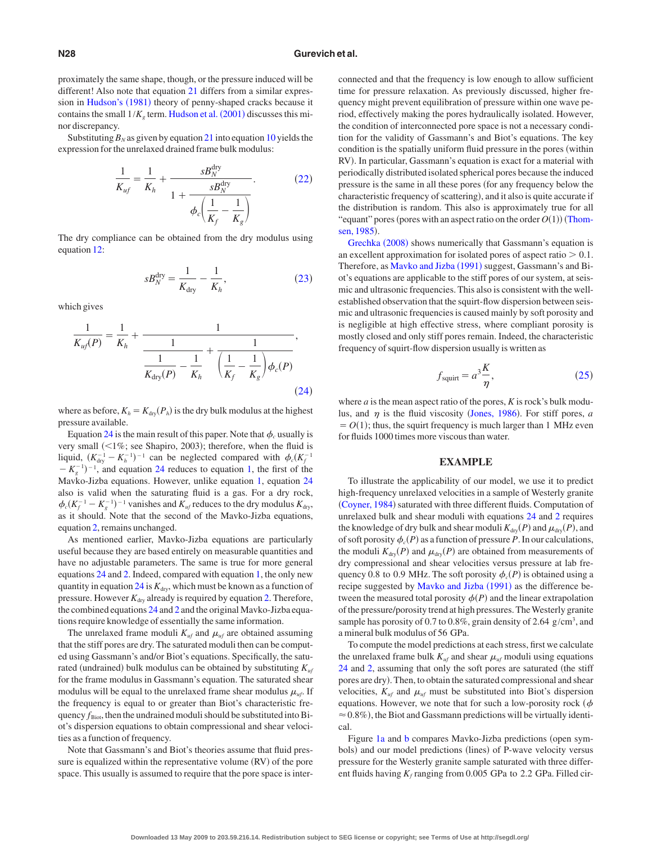proximately the same shape, though, or the pressure induced will be different! Also note that equation [21](#page-2-11) differs from a similar expres-sion in [Hudson's](#page-4-14) (1981) theory of penny-shaped cracks because it contains the small  $1/K_g$  term. [Hudson et al.](#page-4-15)  $(2001)$  discusses this minor discrepancy.

<span id="page-3-0"></span>Substituting  $B_N$  as given by equation [21](#page-2-11) into equation [10](#page-2-0) yields the expression for the unrelaxed drained frame bulk modulus:

$$
\frac{1}{K_{uf}} = \frac{1}{K_h} + \frac{sB_N^{\text{dry}}}{1 + \frac{sB_N^{\text{dry}}}{\phi_c \left(\frac{1}{K_f} - \frac{1}{K_g}\right)}}.
$$
(22)

<span id="page-3-1"></span>The dry compliance can be obtained from the dry modulus using equation [12:](#page-2-2)

$$
sB_N^{\text{dry}} = \frac{1}{K_{\text{dry}}} - \frac{1}{K_h},\tag{23}
$$

<span id="page-3-2"></span>which gives

$$
\frac{1}{K_{uf}(P)} = \frac{1}{K_h} + \frac{1}{\frac{1}{K_{dry}(P)} - \frac{1}{K_h} + \frac{1}{\left(\frac{1}{K_f} - \frac{1}{K_g}\right)\phi_c(P)}},
$$
\n(24)

where as before,  $K_h = K_{\text{dry}}(P_h)$  is the dry bulk modulus at the highest pressure available.

Equation [24](#page-3-2) is the main result of this paper. Note that  $\phi_c$  usually is very small  $($  <math>1\%</math>; see Shapiro, 2003); therefore, when the fluid is liquid,  $(K_{\text{dry}}^{-1} - K_h^{-1})^{-1}$  can be neglected compared with  $\phi_c(K_f^{-1})$  $-K_g^{-1}$ <sup>-1</sup>, and equation [24](#page-3-2) reduces to equation [1,](#page-0-3) the first of the Mavko-Jizba equations. However, unlike equation [1,](#page-0-3) equation [24](#page-3-2) also is valid when the saturating fluid is a gas. For a dry rock,  $\phi_c(K_f^{-1} - K_g^{-1})^{-1}$  vanishes and  $K_{uf}$  reduces to the dry modulus  $K_{\text{dry}}$ , as it should. Note that the second of the Mavko-Jizba equations, equation [2,](#page-0-3) remains unchanged.

As mentioned earlier, Mavko-Jizba equations are particularly useful because they are based entirely on measurable quantities and have no adjustable parameters. The same is true for more general equations [24](#page-3-2) and [2.](#page-0-3) Indeed, compared with equation [1,](#page-0-3) the only new quantity in equation  $24$  is  $K<sub>dry</sub>$ , which must be known as a function of pressure. However  $K_{\text{dry}}$  already is required by equation [2.](#page-0-3) Therefore, the combined equations [24](#page-3-2) and [2](#page-0-3) and the original Mavko-Jizba equations require knowledge of essentially the same information.

The unrelaxed frame moduli  $K_{uf}$  and  $\mu_{uf}$  are obtained assuming that the stiff pores are dry. The saturated moduli then can be computed using Gassmann's and/or Biot's equations. Specifically, the saturated (undrained) bulk modulus can be obtained by substituting  $K_{\mu}$ for the frame modulus in Gassmann's equation. The saturated shear modulus will be equal to the unrelaxed frame shear modulus  $\mu_{\mu}$ . If the frequency is equal to or greater than Biot's characteristic frequency  $f_{\text{Biot}}$ , then the undrained moduli should be substituted into Biot's dispersion equations to obtain compressional and shear velocities as a function of frequency.

Note that Gassmann's and Biot's theories assume that fluid pressure is equalized within the representative volume (RV) of the pore space. This usually is assumed to require that the pore space is interconnected and that the frequency is low enough to allow sufficient time for pressure relaxation. As previously discussed, higher frequency might prevent equilibration of pressure within one wave period, effectively making the pores hydraulically isolated. However, the condition of interconnected pore space is not a necessary condition for the validity of Gassmann's and Biot's equations. The key condition is the spatially uniform fluid pressure in the pores (within RV). In particular, Gassmann's equation is exact for a material with periodically distributed isolated spherical pores because the induced pressure is the same in all these pores for any frequency below the characteristic frequency of scattering), and it also is quite accurate if the distribution is random. This also is approximately true for all "equant" pores (pores with an aspect ratio on the order  $O(1)$ ) ([Thom](#page-5-9)[sen, 1985](#page-5-9)).

[Grechka](#page-4-16) (2008) shows numerically that Gassmann's equation is an excellent approximation for isolated pores of aspect ratio  $> 0.1$ . Therefore, as [Mavko and Jizba](#page-4-0) (1991) suggest, Gassmann's and Biot's equations are applicable to the stiff pores of our system, at seismic and ultrasonic frequencies. This also is consistent with the wellestablished observation that the squirt-flow dispersion between seismic and ultrasonic frequencies is caused mainly by soft porosity and is negligible at high effective stress, where compliant porosity is mostly closed and only stiff pores remain. Indeed, the characteristic frequency of squirt-flow dispersion usually is written as

$$
f_{\text{squirt}} = a^3 \frac{K}{\eta},\tag{25}
$$

<span id="page-3-3"></span>where *a* is the mean aspect ratio of the pores, *K* is rock's bulk modulus, and  $\eta$  is the fluid viscosity ([Jones, 1986](#page-4-6)). For stiff pores, *a*  $= O(1)$ ; thus, the squirt frequency is much larger than 1 MHz even for fluids 1000 times more viscous than water.

## **EXAMPLE**

To illustrate the applicability of our model, we use it to predict high-frequency unrelaxed velocities in a sample of Westerly granite ([Coyner, 1984](#page-4-17)) saturated with three different fluids. Computation of unrelaxed bulk and shear moduli with equations [24](#page-3-2) and [2](#page-0-3) requires the knowledge of dry bulk and shear moduli  $K_{\text{dry}}(P)$  and  $\mu_{\text{dry}}(P)$ , and of soft porosity  $\phi_c(P)$  as a function of pressure *P*. In our calculations, the moduli  $K_{\text{dry}}(P)$  and  $\mu_{\text{dry}}(P)$  are obtained from measurements of dry compressional and shear velocities versus pressure at lab frequency 0.8 to 0.9 MHz. The soft porosity  $\phi_c(P)$  is obtained using a recipe suggested by [Mavko and Jizba](#page-4-0) (1991) as the difference between the measured total porosity  $\phi(P)$  and the linear extrapolation of the pressure/porosity trend at high pressures. TheWesterly granite sample has porosity of 0.7 to 0.8%, grain density of 2.64  $g/cm<sup>3</sup>$ , and a mineral bulk modulus of 56 GPa.

To compute the model predictions at each stress, first we calculate the unrelaxed frame bulk  $K_{uf}$  and shear  $\mu_{uf}$  moduli using equations [24](#page-3-2) and [2,](#page-0-3) assuming that only the soft pores are saturated (the stiff pores are dry). Then, to obtain the saturated compressional and shear velocities,  $K_{uf}$  and  $\mu_{uf}$  must be substituted into Biot's dispersion equations. However, we note that for such a low-porosity rock  $(\phi)$  $\approx$  0.8%), the Biot and Gassmann predictions will be virtually identical.

Figure [1a](#page-4-18) and [b](#page-4-18) compares Mavko-Jizba predictions (open symbols) and our model predictions (lines) of P-wave velocity versus pressure for the Westerly granite sample saturated with three different fluids having  $K_f$  ranging from 0.005 GPa to 2.2 GPa. Filled cir-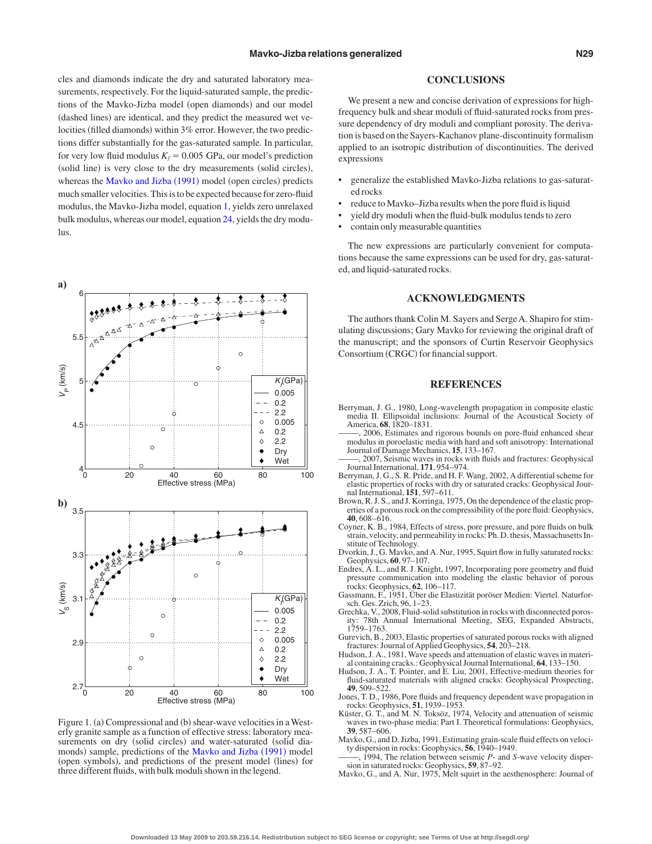cles and diamonds indicate the dry and saturated laboratory measurements, respectively. For the liquid-saturated sample, the predictions of the Mavko-Jizba model (open diamonds) and our model (dashed lines) are identical, and they predict the measured wet velocities (filled diamonds) within 3% error. However, the two predictions differ substantially for the gas-saturated sample. In particular, for very low fluid modulus  $K_f = 0.005$  GPa, our model's prediction (solid line) is very close to the dry measurements (solid circles), whereas the [Mavko and Jizba](#page-4-0) (1991) model (open circles) predicts much smaller velocities. This is to be expected because for zero-fluid modulus, the Mavko-Jizba model, equation [1,](#page-0-3) yields zero unrelaxed bulk modulus, whereas our model, equation [24,](#page-3-2) yields the dry modulus.

<span id="page-4-18"></span>

Figure 1. (a) Compressional and (b) shear-wave velocities in a Westerly granite sample as a function of effective stress: laboratory measurements on dry (solid circles) and water-saturated (solid dia-monds) sample, predictions of the [Mavko and Jizba](#page-4-0) (1991) model (open symbols), and predictions of the present model (lines) for three different fluids, with bulk moduli shown in the legend.

#### **CONCLUSIONS**

We present a new and concise derivation of expressions for highfrequency bulk and shear moduli of fluid-saturated rocks from pressure dependency of dry moduli and compliant porosity. The derivation is based on the Sayers-Kachanov plane-discontinuity formalism applied to an isotropic distribution of discontinuities. The derived expressions

- generalize the established Mavko-Jizba relations to gas-saturated rocks
- reduce to Mavko–Jizba results when the pore fluid is liquid
- yield dry moduli when the fluid-bulk modulus tends to zero
- contain only measurable quantities

The new expressions are particularly convenient for computations because the same expressions can be used for dry, gas-saturated, and liquid-saturated rocks.

## **ACKNOWLEDGMENTS**

The authors thank Colin M. Sayers and Serge A. Shapiro for stimulating discussions; Gary Mavko for reviewing the original draft of the manuscript; and the sponsors of Curtin Reservoir Geophysics Consortium (CRGC) for financial support.

#### **REFERENCES**

- <span id="page-4-13"></span>Berryman, J. G., 1980, Long-wavelength propagation in composite elastic media II. Ellipsoidal inclusions: Journal of the Acoustical Society of America, **68**, 1820–1831.
- <span id="page-4-4"></span>2006, Estimates and rigorous bounds on pore-fluid enhanced shear modulus in poroelastic media with hard and soft anisotropy: International Journal of Damage Mechanics, **15**, 133–167.
- <span id="page-4-2"></span>——–, 2007, Seismic waves in rocks with fluids and fractures: Geophysical Journal International, **171**, 954–974.
- <span id="page-4-3"></span>Berryman, J. G., S. R. Pride, and H. F. Wang, 2002, A differential scheme for elastic properties of rocks with dry or saturated cracks: Geophysical Journal International, **151**, 597–611.
- <span id="page-4-10"></span>Brown, R. J. S., and J. Korringa, 1975, On the dependence of the elastic prop-erties of a porous rock on the compressibility of the pore fluid: Geophysics, **40**, 608–616.
- <span id="page-4-17"></span>Coyner, K. B., 1984, Effects of stress, pore pressure, and pore fluids on bulk strain, velocity, and permeability in rocks: Ph. D. thesis, Massachusetts Institute of Technology.
- <span id="page-4-7"></span>Dvorkin, J., G. Mavko, and A. Nur, 1995, Squirt flow in fully saturated rocks: Geophysics, **60**, 97–107.
- <span id="page-4-8"></span>Endres, A. L., and R. J. Knight, 1997, Incorporating pore geometry and fluid pressure communication into modeling the elastic behavior of porous rocks: Geophysics, **62**, 106–117.
- <span id="page-4-9"></span>Gassmann, F., 1951, Über die Elastizität poröser Medien: Viertel. Naturforsch. Ges. Zrich, 96, 1–23.
- <span id="page-4-16"></span>Grechka, V., 2008, Fluid-solid substitution in rocks with disconnected porosity: 78th Annual International Meeting, SEG, Expanded Abstracts, 1759–1763.
- <span id="page-4-11"></span>Gurevich, B., 2003, Elastic properties of saturated porous rocks with aligned fractures: Journal ofApplied Geophysics, **54**, 203–218.
- <span id="page-4-14"></span>Hudson, J. A., 1981, Wave speeds and attenuation of elastic waves in material containing cracks.: Geophysical Journal International, **64**, 133–150.
- <span id="page-4-15"></span>Hudson, J. A., T. Pointer, and E. Liu, 2001, Effective-medium theories for fluid-saturated materials with aligned cracks: Geophysical Prospecting, **49**, 509–522.
- <span id="page-4-6"></span>Jones, T. D., 1986, Pore fluids and frequency dependent wave propagation in rocks: Geophysics, **51**, 1939–1953.
- <span id="page-4-12"></span>Küster, G. T., and M. N. Toksöz, 1974, Velocity and attenuation of seismic waves in two-phase media: Part I. Theoretical formulations: Geophysics, **39**, 587–606.
- <span id="page-4-1"></span><span id="page-4-0"></span>Mavko, G., and D. Jizba, 1991, Estimating grain-scale fluid effects on veloci-ty dispersion in rocks: Geophysics, **56**, 1940–1949.
- ——–, 1994, The relation between seismic *P* and *S*-wave velocity dispersion in saturated rocks: Geophysics, **59**, 87–92.
- <span id="page-4-5"></span>Mavko, G., and A. Nur, 1975, Melt squirt in the aesthenosphere: Journal of